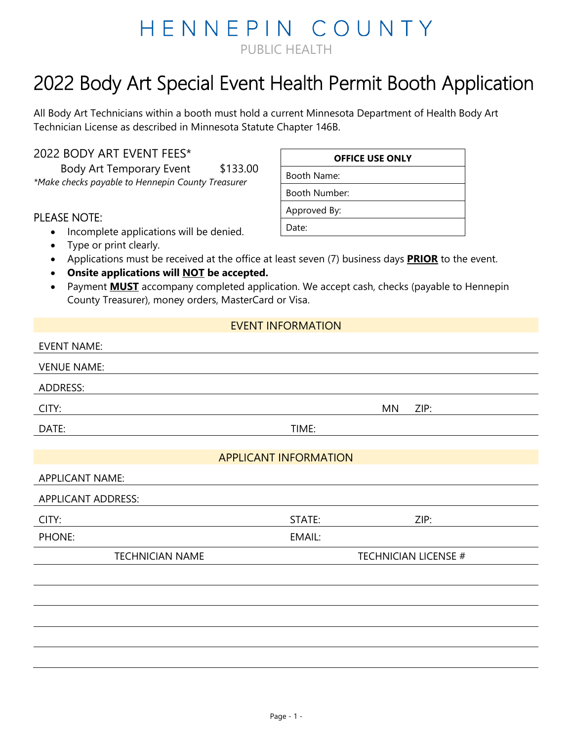## HENNEPIN COUNTY PUBLIC HEALTH

# 2022 Body Art Special Event Health Permit Booth Application

All Body Art Technicians within a booth must hold a current Minnesota Department of Health Body Art Technician License as described in Minnesota Statute Chapter 146B.

#### 2022 BODY ART EVENT FEES\*

Body Art Temporary Event \$133.00 *\*Make checks payable to Hennepin County Treasurer*

#### PLEASE NOTE:

- Incomplete applications will be denied.
- Type or print clearly.
- Applications must be received at the office at least seven (7) business days **PRIOR** to the event.
- **Onsite applications will NOT be accepted.**
- Payment **MUST** accompany completed application. We accept cash, checks (payable to Hennepin County Treasurer), money orders, MasterCard or Visa.

#### EVENT INFORMATION

| <b>EVENT NAME:</b>        |                              |                             |  |
|---------------------------|------------------------------|-----------------------------|--|
| <b>VENUE NAME:</b>        |                              |                             |  |
| ADDRESS:                  |                              |                             |  |
| CITY:                     | ΜN                           | ZIP:                        |  |
| DATE:                     | TIME:                        |                             |  |
|                           |                              |                             |  |
|                           | <b>APPLICANT INFORMATION</b> |                             |  |
| <b>APPLICANT NAME:</b>    |                              |                             |  |
| <b>APPLICANT ADDRESS:</b> |                              |                             |  |
| CITY:                     | STATE:                       | ZIP:                        |  |
| PHONE:                    | EMAIL:                       |                             |  |
| <b>TECHNICIAN NAME</b>    |                              | <b>TECHNICIAN LICENSE #</b> |  |
|                           |                              |                             |  |
|                           |                              |                             |  |
|                           |                              |                             |  |
|                           |                              |                             |  |
|                           |                              |                             |  |

#### **OFFICE USE ONLY**

Booth Name: Booth Number:

Approved By:

Date: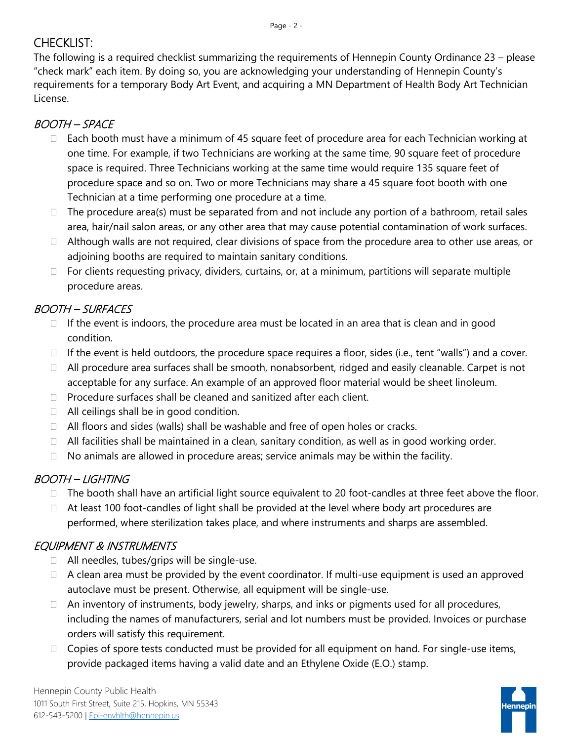## CHECKLIST:

The following is a required checklist summarizing the requirements of Hennepin County Ordinance 23 – please "check mark" each item. By doing so, you are acknowledging your understanding of Hennepin County's requirements for a temporary Body Art Event, and acquiring a MN Department of Health Body Art Technician License.

#### BOOTH – SPACE

- $\Box$  Each booth must have a minimum of 45 square feet of procedure area for each Technician working at one time. For example, if two Technicians are working at the same time, 90 square feet of procedure space is required. Three Technicians working at the same time would require 135 square feet of procedure space and so on. Two or more Technicians may share a 45 square foot booth with one Technician at a time performing one procedure at a time.
- $\Box$  The procedure area(s) must be separated from and not include any portion of a bathroom, retail sales area, hair/nail salon areas, or any other area that may cause potential contamination of work surfaces.
- $\Box$  Although walls are not required, clear divisions of space from the procedure area to other use areas, or adjoining booths are required to maintain sanitary conditions.
- $\Box$  For clients requesting privacy, dividers, curtains, or, at a minimum, partitions will separate multiple procedure areas.

## BOOTH – SURFACES

- $\Box$  If the event is indoors, the procedure area must be located in an area that is clean and in good condition.
- $\Box$  If the event is held outdoors, the procedure space requires a floor, sides (i.e., tent "walls") and a cover.
- □ All procedure area surfaces shall be smooth, nonabsorbent, ridged and easily cleanable. Carpet is not acceptable for any surface. An example of an approved floor material would be sheet linoleum.
- $\Box$  Procedure surfaces shall be cleaned and sanitized after each client.
- $\Box$  All ceilings shall be in good condition.
- $\Box$  All floors and sides (walls) shall be washable and free of open holes or cracks.
- $\Box$  All facilities shall be maintained in a clean, sanitary condition, as well as in good working order.
- $\Box$  No animals are allowed in procedure areas; service animals may be within the facility.

#### BOOTH – LIGHTING

- $\Box$  The booth shall have an artificial light source equivalent to 20 foot-candles at three feet above the floor.
- $\Box$  At least 100 foot-candles of light shall be provided at the level where body art procedures are performed, where sterilization takes place, and where instruments and sharps are assembled.

### EQUIPMENT & INSTRUMENTS

- $\Box$  All needles, tubes/grips will be single-use.
- $\Box$  A clean area must be provided by the event coordinator. If multi-use equipment is used an approved autoclave must be present. Otherwise, all equipment will be single-use.
- $\Box$  An inventory of instruments, body jewelry, sharps, and inks or pigments used for all procedures, including the names of manufacturers, serial and lot numbers must be provided. Invoices or purchase orders will satisfy this requirement.
- $\Box$  Copies of spore tests conducted must be provided for all equipment on hand. For single-use items, provide packaged items having a valid date and an Ethylene Oxide (E.O.) stamp.

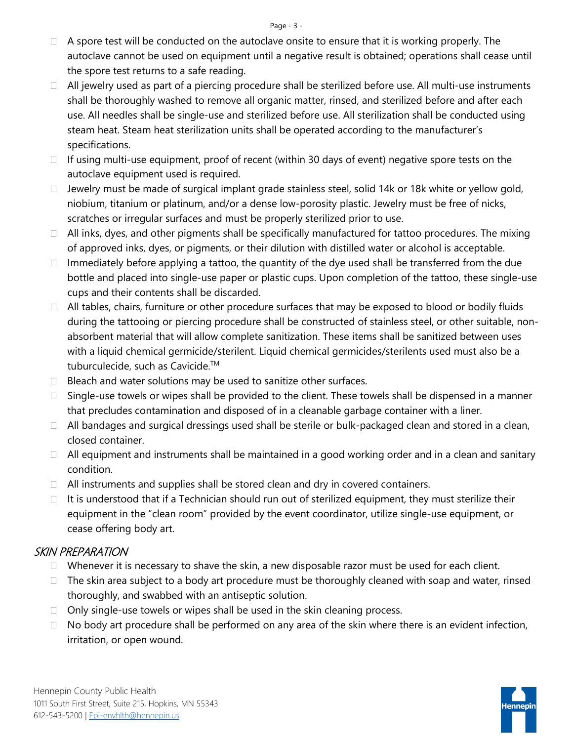- $\Box$  A spore test will be conducted on the autoclave onsite to ensure that it is working properly. The autoclave cannot be used on equipment until a negative result is obtained; operations shall cease until the spore test returns to a safe reading.
- $\Box$  All jewelry used as part of a piercing procedure shall be sterilized before use. All multi-use instruments shall be thoroughly washed to remove all organic matter, rinsed, and sterilized before and after each use. All needles shall be single-use and sterilized before use. All sterilization shall be conducted using steam heat. Steam heat sterilization units shall be operated according to the manufacturer's specifications.
- $\Box$  If using multi-use equipment, proof of recent (within 30 days of event) negative spore tests on the autoclave equipment used is required.
- $\Box$  Jewelry must be made of surgical implant grade stainless steel, solid 14k or 18k white or yellow gold, niobium, titanium or platinum, and/or a dense low-porosity plastic. Jewelry must be free of nicks, scratches or irregular surfaces and must be properly sterilized prior to use.
- $\Box$  All inks, dyes, and other pigments shall be specifically manufactured for tattoo procedures. The mixing of approved inks, dyes, or pigments, or their dilution with distilled water or alcohol is acceptable.
- $\Box$  Immediately before applying a tattoo, the quantity of the dye used shall be transferred from the due bottle and placed into single-use paper or plastic cups. Upon completion of the tattoo, these single-use cups and their contents shall be discarded.
- $\Box$  All tables, chairs, furniture or other procedure surfaces that may be exposed to blood or bodily fluids during the tattooing or piercing procedure shall be constructed of stainless steel, or other suitable, nonabsorbent material that will allow complete sanitization. These items shall be sanitized between uses with a liquid chemical germicide/sterilent. Liquid chemical germicides/sterilents used must also be a tuburculecide, such as Cavicide.<sup>™</sup>
- $\Box$  Bleach and water solutions may be used to sanitize other surfaces.
- $\Box$  Single-use towels or wipes shall be provided to the client. These towels shall be dispensed in a manner that precludes contamination and disposed of in a cleanable garbage container with a liner.
- $\Box$  All bandages and surgical dressings used shall be sterile or bulk-packaged clean and stored in a clean, closed container.
- $\Box$  All equipment and instruments shall be maintained in a good working order and in a clean and sanitary condition.
- $\Box$  All instruments and supplies shall be stored clean and dry in covered containers.
- $\Box$  It is understood that if a Technician should run out of sterilized equipment, they must sterilize their equipment in the "clean room" provided by the event coordinator, utilize single-use equipment, or cease offering body art.

#### SKIN PREPARATION

- $\Box$  Whenever it is necessary to shave the skin, a new disposable razor must be used for each client.
- $\Box$  The skin area subject to a body art procedure must be thoroughly cleaned with soap and water, rinsed thoroughly, and swabbed with an antiseptic solution.
- $\Box$  Only single-use towels or wipes shall be used in the skin cleaning process.
- $\Box$  No body art procedure shall be performed on any area of the skin where there is an evident infection, irritation, or open wound.

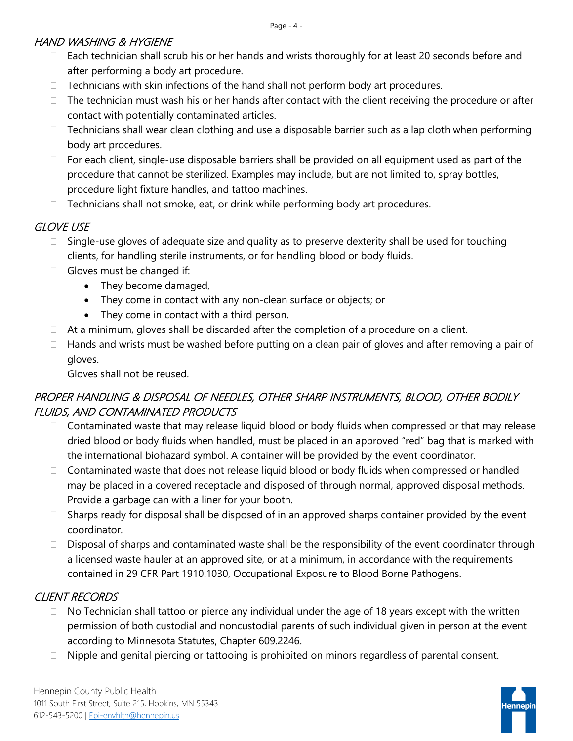#### HAND WASHING & HYGIENE

- □ Each technician shall scrub his or her hands and wrists thoroughly for at least 20 seconds before and after performing a body art procedure.
- $\Box$  Technicians with skin infections of the hand shall not perform body art procedures.
- $\Box$  The technician must wash his or her hands after contact with the client receiving the procedure or after contact with potentially contaminated articles.
- $\Box$  Technicians shall wear clean clothing and use a disposable barrier such as a lap cloth when performing body art procedures.
- $\Box$  For each client, single-use disposable barriers shall be provided on all equipment used as part of the procedure that cannot be sterilized. Examples may include, but are not limited to, spray bottles, procedure light fixture handles, and tattoo machines.
- $\Box$  Technicians shall not smoke, eat, or drink while performing body art procedures.

#### GLOVE USE

- $\Box$  Single-use gloves of adequate size and quality as to preserve dexterity shall be used for touching clients, for handling sterile instruments, or for handling blood or body fluids.
- $\Box$  Gloves must be changed if:
	- They become damaged,
	- They come in contact with any non-clean surface or objects; or
	- They come in contact with a third person.
- $\Box$  At a minimum, gloves shall be discarded after the completion of a procedure on a client.
- $\Box$  Hands and wrists must be washed before putting on a clean pair of gloves and after removing a pair of gloves.
- $\Box$  Gloves shall not be reused.

#### PROPER HANDLING & DISPOSAL OF NEEDLES, OTHER SHARP INSTRUMENTS, BLOOD, OTHER BODILY FLUIDS, AND CONTAMINATED PRODUCTS

- $\Box$  Contaminated waste that may release liquid blood or body fluids when compressed or that may release dried blood or body fluids when handled, must be placed in an approved "red" bag that is marked with the international biohazard symbol. A container will be provided by the event coordinator.
- $\Box$  Contaminated waste that does not release liquid blood or body fluids when compressed or handled may be placed in a covered receptacle and disposed of through normal, approved disposal methods. Provide a garbage can with a liner for your booth.
- $\Box$  Sharps ready for disposal shall be disposed of in an approved sharps container provided by the event coordinator.
- $\Box$  Disposal of sharps and contaminated waste shall be the responsibility of the event coordinator through a licensed waste hauler at an approved site, or at a minimum, in accordance with the requirements contained in 29 CFR Part 1910.1030, Occupational Exposure to Blood Borne Pathogens.

### CLIENT RECORDS

- $\Box$  No Technician shall tattoo or pierce any individual under the age of 18 years except with the written permission of both custodial and noncustodial parents of such individual given in person at the event according to Minnesota Statutes, Chapter 609.2246.
- $\Box$  Nipple and genital piercing or tattooing is prohibited on minors regardless of parental consent.

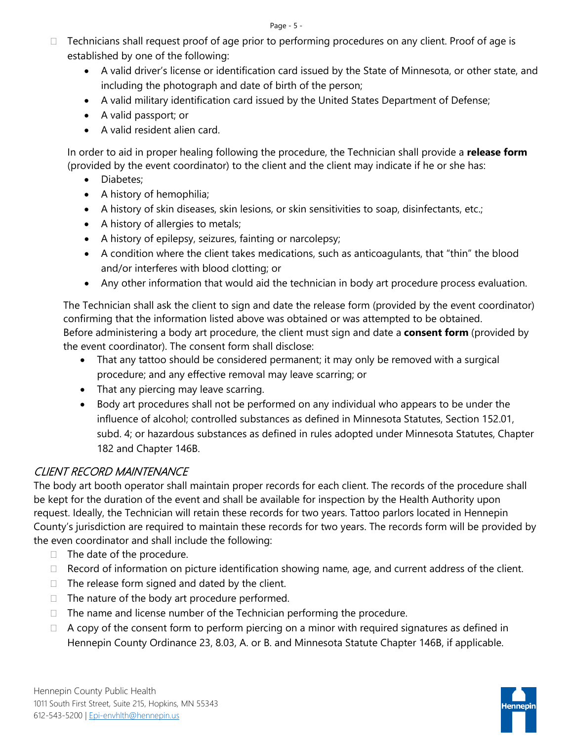- $\Box$  Technicians shall request proof of age prior to performing procedures on any client. Proof of age is established by one of the following:
	- A valid driver's license or identification card issued by the State of Minnesota, or other state, and including the photograph and date of birth of the person;
	- A valid military identification card issued by the United States Department of Defense;
	- A valid passport; or
	- A valid resident alien card.

In order to aid in proper healing following the procedure, the Technician shall provide a **release form** (provided by the event coordinator) to the client and the client may indicate if he or she has:

- Diabetes;
- A history of hemophilia;
- A history of skin diseases, skin lesions, or skin sensitivities to soap, disinfectants, etc.;
- A history of allergies to metals;
- A history of epilepsy, seizures, fainting or narcolepsy;
- A condition where the client takes medications, such as anticoagulants, that "thin" the blood and/or interferes with blood clotting; or
- Any other information that would aid the technician in body art procedure process evaluation.

The Technician shall ask the client to sign and date the release form (provided by the event coordinator) confirming that the information listed above was obtained or was attempted to be obtained. Before administering a body art procedure, the client must sign and date a **consent form** (provided by the event coordinator). The consent form shall disclose:

- That any tattoo should be considered permanent; it may only be removed with a surgical procedure; and any effective removal may leave scarring; or
- That any piercing may leave scarring.
- Body art procedures shall not be performed on any individual who appears to be under the influence of alcohol; controlled substances as defined in Minnesota Statutes, Section 152.01, subd. 4; or hazardous substances as defined in rules adopted under Minnesota Statutes, Chapter 182 and Chapter 146B.

#### CLIENT RECORD MAINTENANCE

The body art booth operator shall maintain proper records for each client. The records of the procedure shall be kept for the duration of the event and shall be available for inspection by the Health Authority upon request. Ideally, the Technician will retain these records for two years. Tattoo parlors located in Hennepin County's jurisdiction are required to maintain these records for two years. The records form will be provided by the even coordinator and shall include the following:

- $\Box$  The date of the procedure.
- $\Box$  Record of information on picture identification showing name, age, and current address of the client.
- $\Box$  The release form signed and dated by the client.
- $\Box$  The nature of the body art procedure performed.
- $\Box$  The name and license number of the Technician performing the procedure.
- $\Box$  A copy of the consent form to perform piercing on a minor with required signatures as defined in Hennepin County Ordinance 23, 8.03, A. or B. and Minnesota Statute Chapter 146B, if applicable.